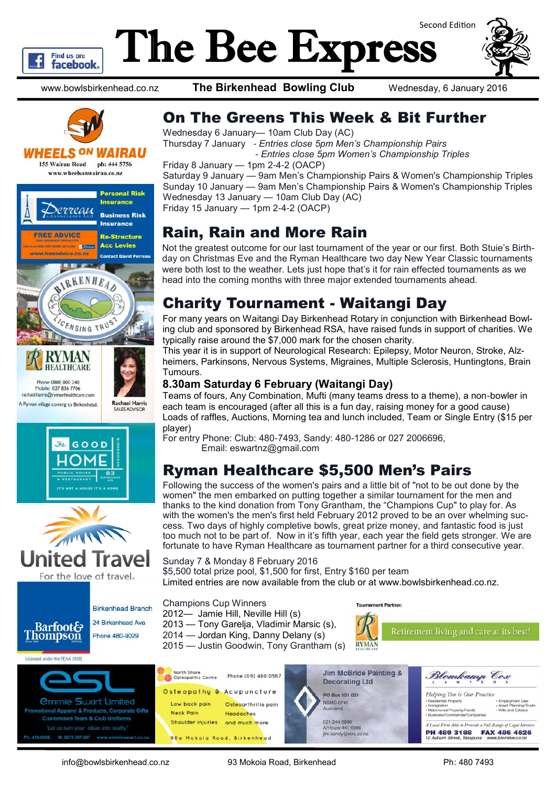

# The Bee Express Second Edition



www.bowlsbirkenhead.co.nz **The Birkenhead Bowling Club** Wednesday, 6 January 2016



#### *VHEELS ON WAIRAU*

**155 Wairau Road** ph: 444 5756 www.wheelsonwairau.co.nz





For the love of travel.

**Birkenhead Branch** 24 Rickenhead Ave Phone 480-9029

**Barfoot& Thompson** 

Licensed under the REAA 2008



Wednesday 6 January— 10am Club Day (AC) Thursday 7 January *- Entries close 5pm Men's Championship Pairs - Entries close 5pm Women's Championship Triples*

Friday 8 January — 1pm 2-4-2 (OACP)

Saturday 9 January — 9am Men's Championship Pairs & Women's Championship Triples Sunday 10 January — 9am Men's Championship Pairs & Women's Championship Triples Wednesday 13 January — 10am Club Day (AC) Friday 15 January — 1pm 2-4-2 (OACP)

### Rain, Rain and More Rain

Not the greatest outcome for our last tournament of the year or our first. Both Stuie's Birthday on Christmas Eve and the Ryman Healthcare two day New Year Classic tournaments were both lost to the weather. Lets just hope that's it for rain effected tournaments as we head into the coming months with three major extended tournaments ahead.

# Charity Tournament - Waitangi Day

For many years on Waitangi Day Birkenhead Rotary in conjunction with Birkenhead Bowling club and sponsored by Birkenhead RSA, have raised funds in support of charities. We typically raise around the \$7,000 mark for the chosen charity.

This year it is in support of Neurological Research: Epilepsy, Motor Neuron, Stroke, Alzheimers, Parkinsons, Nervous Systems, Migraines, Multiple Sclerosis, Huntingtons, Brain Tumours.

#### **8.30am Saturday 6 February (Waitangi Day)**

Teams of fours, Any Combination, Mufti (many teams dress to a theme), a non-bowler in each team is encouraged (after all this is a fun day, raising money for a good cause) Loads of raffles, Auctions, Morning tea and lunch included, Team or Single Entry (\$15 per player)

For entry Phone: Club: 480-7493, Sandy: 480-1286 or 027 2006696, Email: eswartnz@gmail.com

# Ryman Healthcare \$5,500 Men's Pairs

Following the success of the women's pairs and a little bit of "not to be out done by the women" the men embarked on putting together a similar tournament for the men and thanks to the kind donation from Tony Grantham, the "Champions Cup" to play for. As with the women's the men's first held February 2012 proved to be an over whelming success. Two days of highly completive bowls, great prize money, and fantastic food is just too much not to be part of. Now in it's fifth year, each year the field gets stronger. We are fortunate to have Ryman Healthcare as tournament partner for a third consecutive year.

Sunday 7 & Monday 8 February 2016 \$5,500 total prize pool, \$1,500 for first, Entry \$160 per team Limited entries are now available from the club or at www.bowlsbirkenhead.co.nz.

Champions Cup Winners 2012— Jamie Hill, Neville Hill (s) 2013 — Tony Garelja, Vladimir Marsic (s), 2014 — Jordan King, Danny Delany (s) 2015 — Justin Goodwin, Tony Grantham (s)